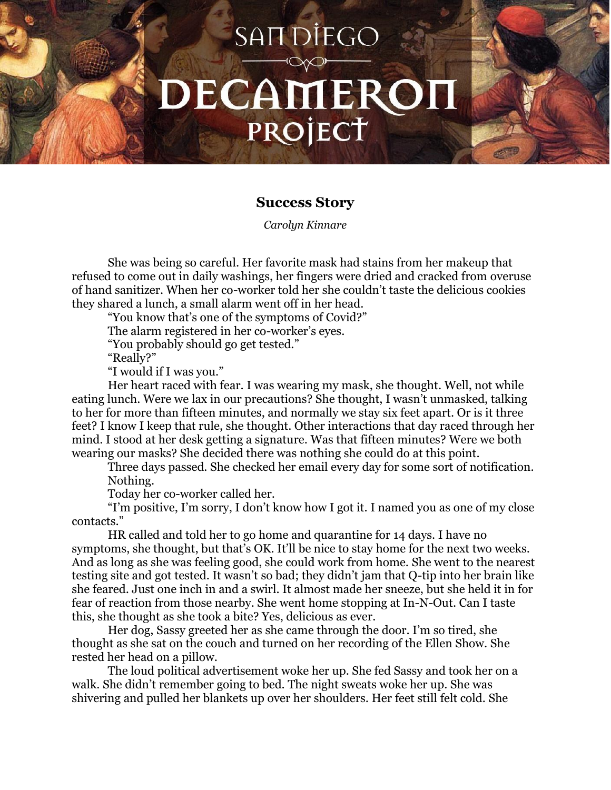## SAIT DIEGO DECAMEROI PROJECT

## **Success Story**

*Carolyn Kinnare*

She was being so careful. Her favorite mask had stains from her makeup that refused to come out in daily washings, her fingers were dried and cracked from overuse of hand sanitizer. When her co-worker told her she couldn't taste the delicious cookies they shared a lunch, a small alarm went off in her head.

"You know that's one of the symptoms of Covid?"

The alarm registered in her co-worker's eyes.

"You probably should go get tested."

"Really?"

"I would if I was you."

Her heart raced with fear. I was wearing my mask, she thought. Well, not while eating lunch. Were we lax in our precautions? She thought, I wasn't unmasked, talking to her for more than fifteen minutes, and normally we stay six feet apart. Or is it three feet? I know I keep that rule, she thought. Other interactions that day raced through her mind. I stood at her desk getting a signature. Was that fifteen minutes? Were we both wearing our masks? She decided there was nothing she could do at this point.

Three days passed. She checked her email every day for some sort of notification. Nothing.

Today her co-worker called her.

"I'm positive, I'm sorry, I don't know how I got it. I named you as one of my close contacts."

HR called and told her to go home and quarantine for 14 days. I have no symptoms, she thought, but that's OK. It'll be nice to stay home for the next two weeks. And as long as she was feeling good, she could work from home. She went to the nearest testing site and got tested. It wasn't so bad; they didn't jam that Q-tip into her brain like she feared. Just one inch in and a swirl. It almost made her sneeze, but she held it in for fear of reaction from those nearby. She went home stopping at In-N-Out. Can I taste this, she thought as she took a bite? Yes, delicious as ever.

Her dog, Sassy greeted her as she came through the door. I'm so tired, she thought as she sat on the couch and turned on her recording of the Ellen Show. She rested her head on a pillow.

The loud political advertisement woke her up. She fed Sassy and took her on a walk. She didn't remember going to bed. The night sweats woke her up. She was shivering and pulled her blankets up over her shoulders. Her feet still felt cold. She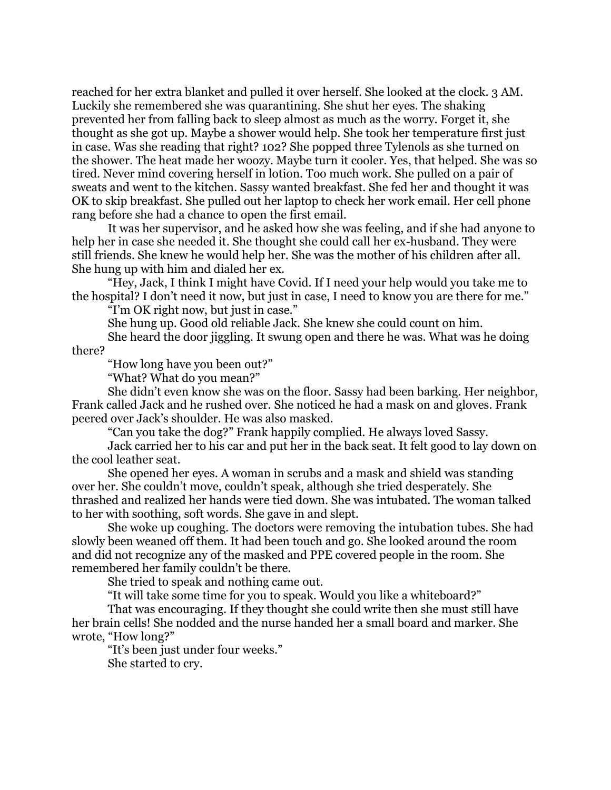reached for her extra blanket and pulled it over herself. She looked at the clock. 3 AM. Luckily she remembered she was quarantining. She shut her eyes. The shaking prevented her from falling back to sleep almost as much as the worry. Forget it, she thought as she got up. Maybe a shower would help. She took her temperature first just in case. Was she reading that right? 102? She popped three Tylenols as she turned on the shower. The heat made her woozy. Maybe turn it cooler. Yes, that helped. She was so tired. Never mind covering herself in lotion. Too much work. She pulled on a pair of sweats and went to the kitchen. Sassy wanted breakfast. She fed her and thought it was OK to skip breakfast. She pulled out her laptop to check her work email. Her cell phone rang before she had a chance to open the first email.

It was her supervisor, and he asked how she was feeling, and if she had anyone to help her in case she needed it. She thought she could call her ex-husband. They were still friends. She knew he would help her. She was the mother of his children after all. She hung up with him and dialed her ex.

"Hey, Jack, I think I might have Covid. If I need your help would you take me to the hospital? I don't need it now, but just in case, I need to know you are there for me."

"I'm OK right now, but just in case."

She hung up. Good old reliable Jack. She knew she could count on him.

She heard the door jiggling. It swung open and there he was. What was he doing

there?

"How long have you been out?"

"What? What do you mean?"

She didn't even know she was on the floor. Sassy had been barking. Her neighbor, Frank called Jack and he rushed over. She noticed he had a mask on and gloves. Frank peered over Jack's shoulder. He was also masked.

"Can you take the dog?" Frank happily complied. He always loved Sassy.

Jack carried her to his car and put her in the back seat. It felt good to lay down on the cool leather seat.

She opened her eyes. A woman in scrubs and a mask and shield was standing over her. She couldn't move, couldn't speak, although she tried desperately. She thrashed and realized her hands were tied down. She was intubated. The woman talked to her with soothing, soft words. She gave in and slept.

She woke up coughing. The doctors were removing the intubation tubes. She had slowly been weaned off them. It had been touch and go. She looked around the room and did not recognize any of the masked and PPE covered people in the room. She remembered her family couldn't be there.

She tried to speak and nothing came out.

"It will take some time for you to speak. Would you like a whiteboard?"

That was encouraging. If they thought she could write then she must still have her brain cells! She nodded and the nurse handed her a small board and marker. She wrote, "How long?"

"It's been just under four weeks."

She started to cry.